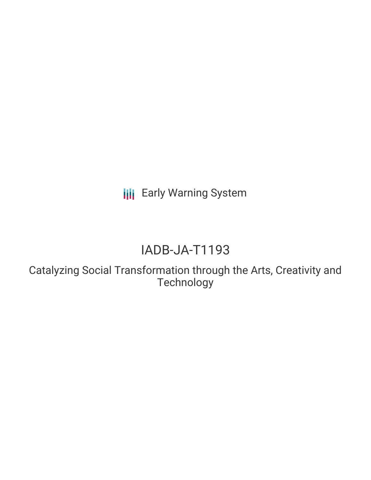**III** Early Warning System

# IADB-JA-T1193

Catalyzing Social Transformation through the Arts, Creativity and Technology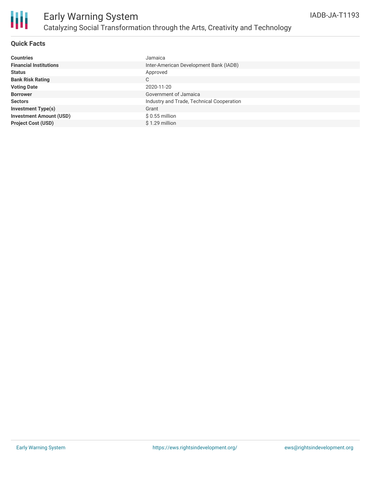

## Early Warning System Catalyzing Social Transformation through the Arts, Creativity and Technology

### **Quick Facts**

| <b>Countries</b>               | Jamaica                                   |
|--------------------------------|-------------------------------------------|
| <b>Financial Institutions</b>  | Inter-American Development Bank (IADB)    |
| <b>Status</b>                  | Approved                                  |
| <b>Bank Risk Rating</b>        | C                                         |
| <b>Voting Date</b>             | 2020-11-20                                |
| <b>Borrower</b>                | Government of Jamaica                     |
| <b>Sectors</b>                 | Industry and Trade, Technical Cooperation |
| <b>Investment Type(s)</b>      | Grant                                     |
| <b>Investment Amount (USD)</b> | $$0.55$ million                           |
| <b>Project Cost (USD)</b>      | $$1.29$ million                           |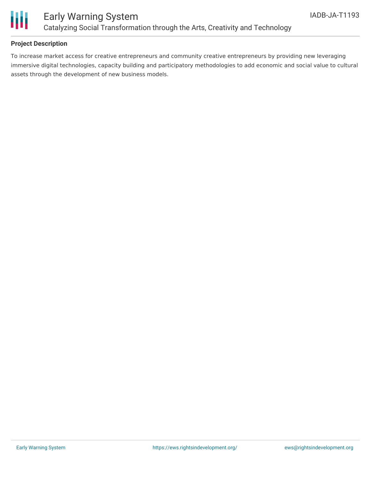

### **Project Description**

To increase market access for creative entrepreneurs and community creative entrepreneurs by providing new leveraging immersive digital technologies, capacity building and participatory methodologies to add economic and social value to cultural assets through the development of new business models.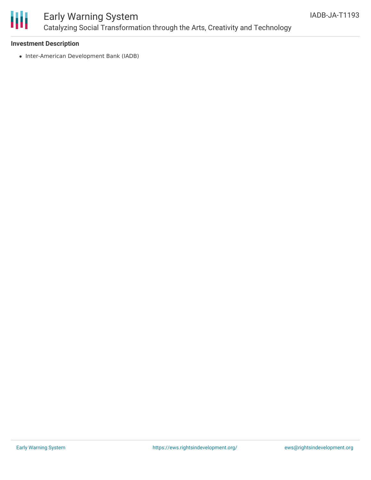

### Early Warning System Catalyzing Social Transformation through the Arts, Creativity and Technology

### **Investment Description**

• Inter-American Development Bank (IADB)